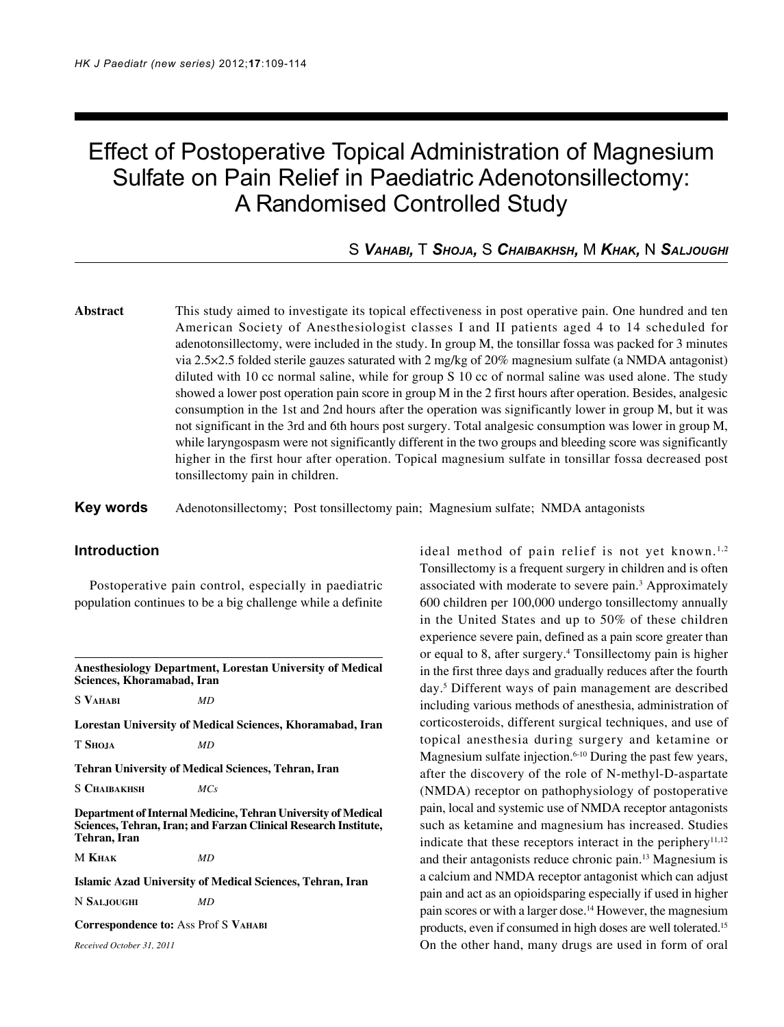# Effect of Postoperative Topical Administration of Magnesium Sulfate on Pain Relief in Paediatric Adenotonsillectomy: A Randomised Controlled Study

# S *VAHABI,* T *SHOJA,* S *CHAIBAKHSH,* M *KHAK,* N *SALJOUGHI*

**Abstract** This study aimed to investigate its topical effectiveness in post operative pain. One hundred and ten American Society of Anesthesiologist classes I and II patients aged 4 to 14 scheduled for adenotonsillectomy, were included in the study. In group M, the tonsillar fossa was packed for 3 minutes via 2.5×2.5 folded sterile gauzes saturated with 2 mg/kg of 20% magnesium sulfate (a NMDA antagonist) diluted with 10 cc normal saline, while for group S 10 cc of normal saline was used alone. The study showed a lower post operation pain score in group M in the 2 first hours after operation. Besides, analgesic consumption in the 1st and 2nd hours after the operation was significantly lower in group M, but it was not significant in the 3rd and 6th hours post surgery. Total analgesic consumption was lower in group M, while laryngospasm were not significantly different in the two groups and bleeding score was significantly higher in the first hour after operation. Topical magnesium sulfate in tonsillar fossa decreased post tonsillectomy pain in children.

**Key words** Adenotonsillectomy; Post tonsillectomy pain; Magnesium sulfate; NMDA antagonists

# **Introduction**

Postoperative pain control, especially in paediatric population continues to be a big challenge while a definite

**Anesthesiology Department, Lorestan University of Medical Sciences, Khoramabad, Iran**

S **VAHABI** *MD*

**Lorestan University of Medical Sciences, Khoramabad, Iran**

T **SHOJA** *MD*

**Tehran University of Medical Sciences, Tehran, Iran**

S **CHAIBAKHSH** *MCs*

**Department of Internal Medicine, Tehran University of Medical Sciences, Tehran, Iran; and Farzan Clinical Research Institute, Tehran, Iran**

M **KHAK** *MD*

**Islamic Azad University of Medical Sciences, Tehran, Iran**

N **SALJOUGHI** *MD*

**Correspondence to:** Ass Prof S **VAHABI**

*Received October 31, 2011*

ideal method of pain relief is not yet known.<sup>1,2</sup> Tonsillectomy is a frequent surgery in children and is often associated with moderate to severe pain.<sup>3</sup> Approximately 600 children per 100,000 undergo tonsillectomy annually in the United States and up to 50% of these children experience severe pain, defined as a pain score greater than or equal to 8, after surgery.<sup>4</sup> Tonsillectomy pain is higher in the first three days and gradually reduces after the fourth day.5 Different ways of pain management are described including various methods of anesthesia, administration of corticosteroids, different surgical techniques, and use of topical anesthesia during surgery and ketamine or Magnesium sulfate injection.<sup>6-10</sup> During the past few years, after the discovery of the role of N-methyl-D-aspartate (NMDA) receptor on pathophysiology of postoperative pain, local and systemic use of NMDA receptor antagonists such as ketamine and magnesium has increased. Studies indicate that these receptors interact in the periphery $11,12$ and their antagonists reduce chronic pain.13 Magnesium is a calcium and NMDA receptor antagonist which can adjust pain and act as an opioidsparing especially if used in higher pain scores or with a larger dose.14 However, the magnesium products, even if consumed in high doses are well tolerated.15 On the other hand, many drugs are used in form of oral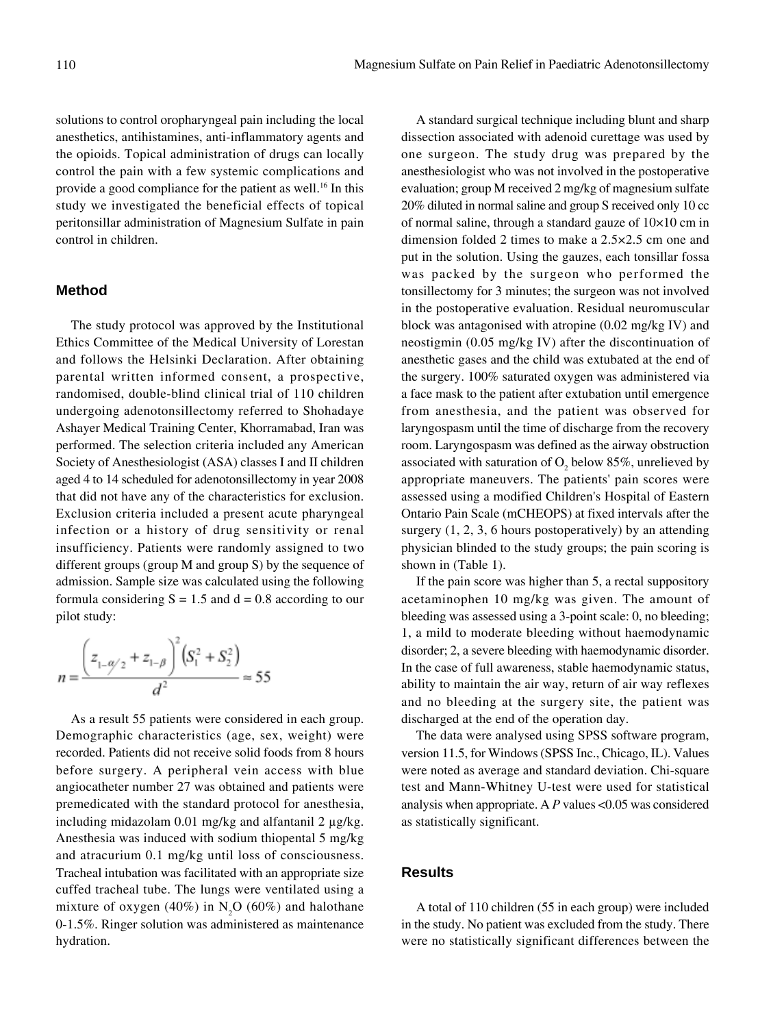solutions to control oropharyngeal pain including the local anesthetics, antihistamines, anti-inflammatory agents and the opioids. Topical administration of drugs can locally control the pain with a few systemic complications and provide a good compliance for the patient as well.16 In this study we investigated the beneficial effects of topical peritonsillar administration of Magnesium Sulfate in pain control in children.

# **Method**

The study protocol was approved by the Institutional Ethics Committee of the Medical University of Lorestan and follows the Helsinki Declaration. After obtaining parental written informed consent, a prospective, randomised, double-blind clinical trial of 110 children undergoing adenotonsillectomy referred to Shohadaye Ashayer Medical Training Center, Khorramabad, Iran was performed. The selection criteria included any American Society of Anesthesiologist (ASA) classes I and II children aged 4 to 14 scheduled for adenotonsillectomy in year 2008 that did not have any of the characteristics for exclusion. Exclusion criteria included a present acute pharyngeal infection or a history of drug sensitivity or renal insufficiency. Patients were randomly assigned to two different groups (group M and group S) by the sequence of admission. Sample size was calculated using the following formula considering  $S = 1.5$  and  $d = 0.8$  according to our pilot study:

$$
n = \frac{\left(z_{1-\frac{\alpha}{2}} + z_{1-\frac{\beta}{2}}\right)^2 \left(S_1^2 + S_2^2\right)}{d^2} \approx 55
$$

As a result 55 patients were considered in each group. Demographic characteristics (age, sex, weight) were recorded. Patients did not receive solid foods from 8 hours before surgery. A peripheral vein access with blue angiocatheter number 27 was obtained and patients were premedicated with the standard protocol for anesthesia, including midazolam 0.01 mg/kg and alfantanil 2 µg/kg. Anesthesia was induced with sodium thiopental 5 mg/kg and atracurium 0.1 mg/kg until loss of consciousness. Tracheal intubation was facilitated with an appropriate size cuffed tracheal tube. The lungs were ventilated using a mixture of oxygen (40%) in  $N_2O$  (60%) and halothane 0-1.5%. Ringer solution was administered as maintenance hydration.

A standard surgical technique including blunt and sharp dissection associated with adenoid curettage was used by one surgeon. The study drug was prepared by the anesthesiologist who was not involved in the postoperative evaluation; group M received 2 mg/kg of magnesium sulfate 20% diluted in normal saline and group S received only 10 cc of normal saline, through a standard gauze of 10×10 cm in dimension folded 2 times to make a 2.5×2.5 cm one and put in the solution. Using the gauzes, each tonsillar fossa was packed by the surgeon who performed the tonsillectomy for 3 minutes; the surgeon was not involved in the postoperative evaluation. Residual neuromuscular block was antagonised with atropine (0.02 mg/kg IV) and neostigmin (0.05 mg/kg IV) after the discontinuation of anesthetic gases and the child was extubated at the end of the surgery. 100% saturated oxygen was administered via a face mask to the patient after extubation until emergence from anesthesia, and the patient was observed for laryngospasm until the time of discharge from the recovery room. Laryngospasm was defined as the airway obstruction associated with saturation of  $O_2$  below 85%, unrelieved by appropriate maneuvers. The patients' pain scores were assessed using a modified Children's Hospital of Eastern Ontario Pain Scale (mCHEOPS) at fixed intervals after the surgery  $(1, 2, 3, 6$  hours postoperatively) by an attending physician blinded to the study groups; the pain scoring is shown in (Table 1).

If the pain score was higher than 5, a rectal suppository acetaminophen 10 mg/kg was given. The amount of bleeding was assessed using a 3-point scale: 0, no bleeding; 1, a mild to moderate bleeding without haemodynamic disorder; 2, a severe bleeding with haemodynamic disorder. In the case of full awareness, stable haemodynamic status, ability to maintain the air way, return of air way reflexes and no bleeding at the surgery site, the patient was discharged at the end of the operation day.

The data were analysed using SPSS software program, version 11.5, for Windows (SPSS Inc., Chicago, IL). Values were noted as average and standard deviation. Chi-square test and Mann-Whitney U-test were used for statistical analysis when appropriate. A *P* values <0.05 was considered as statistically significant.

#### **Results**

A total of 110 children (55 in each group) were included in the study. No patient was excluded from the study. There were no statistically significant differences between the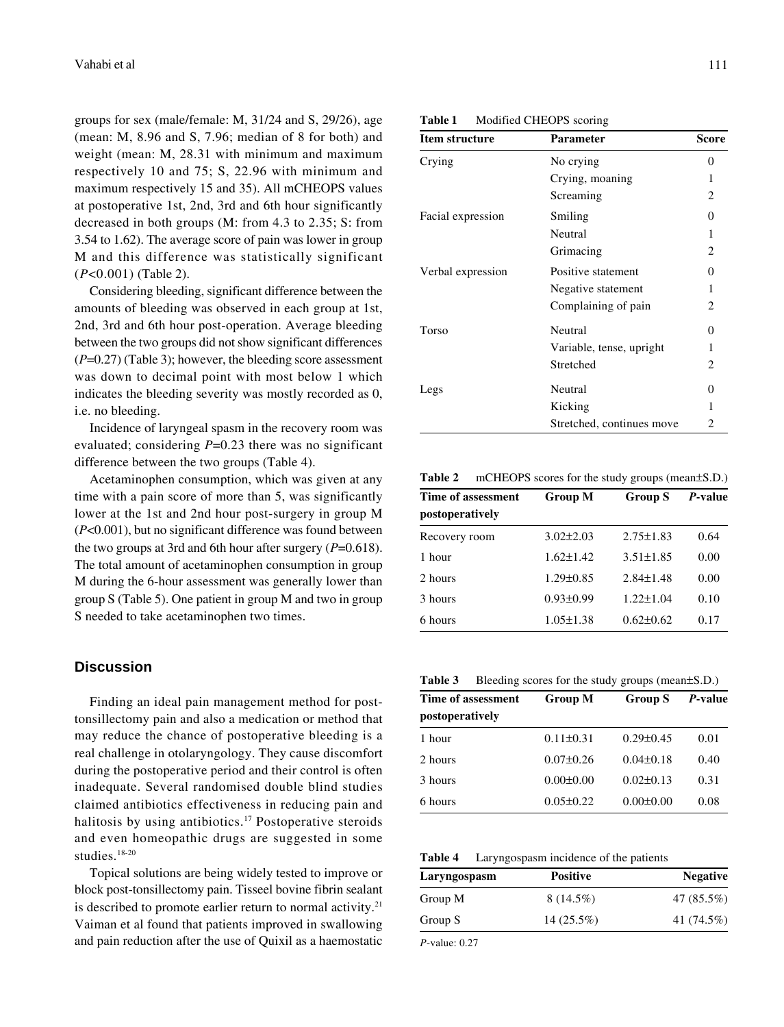groups for sex (male/female: M, 31/24 and S, 29/26), age (mean: M, 8.96 and S, 7.96; median of 8 for both) and weight (mean: M, 28.31 with minimum and maximum respectively 10 and 75; S, 22.96 with minimum and maximum respectively 15 and 35). All mCHEOPS values at postoperative 1st, 2nd, 3rd and 6th hour significantly decreased in both groups (M: from 4.3 to 2.35; S: from 3.54 to 1.62). The average score of pain was lower in group M and this difference was statistically significant (*P*<0.001) (Table 2).

Considering bleeding, significant difference between the amounts of bleeding was observed in each group at 1st, 2nd, 3rd and 6th hour post-operation. Average bleeding between the two groups did not show significant differences (*P*=0.27) (Table 3); however, the bleeding score assessment was down to decimal point with most below 1 which indicates the bleeding severity was mostly recorded as 0, i.e. no bleeding.

Incidence of laryngeal spasm in the recovery room was evaluated; considering *P*=0.23 there was no significant difference between the two groups (Table 4).

Acetaminophen consumption, which was given at any time with a pain score of more than 5, was significantly lower at the 1st and 2nd hour post-surgery in group M (*P*<0.001), but no significant difference was found between the two groups at 3rd and 6th hour after surgery (*P*=0.618). The total amount of acetaminophen consumption in group M during the 6-hour assessment was generally lower than group S (Table 5). One patient in group M and two in group S needed to take acetaminophen two times.

# **Discussion**

Finding an ideal pain management method for posttonsillectomy pain and also a medication or method that may reduce the chance of postoperative bleeding is a real challenge in otolaryngology. They cause discomfort during the postoperative period and their control is often inadequate. Several randomised double blind studies claimed antibiotics effectiveness in reducing pain and halitosis by using antibiotics.<sup>17</sup> Postoperative steroids and even homeopathic drugs are suggested in some studies.18-20

Topical solutions are being widely tested to improve or block post-tonsillectomy pain. Tisseel bovine fibrin sealant is described to promote earlier return to normal activity.<sup>21</sup> Vaiman et al found that patients improved in swallowing and pain reduction after the use of Quixil as a haemostatic

| Modified CHEOPS scoring |
|-------------------------|
|                         |

| Item structure    | Parameter                 | Score    |  |
|-------------------|---------------------------|----------|--|
| Crying            | No crying                 | 0        |  |
|                   | Crying, moaning           | 1        |  |
|                   | Screaming                 | 2        |  |
| Facial expression | Smiling                   | 0        |  |
|                   | Neutral                   | 1        |  |
|                   | Grimacing                 | 2        |  |
| Verbal expression | Positive statement        | $\Omega$ |  |
|                   | Negative statement        | 1        |  |
|                   | Complaining of pain       | 2        |  |
| Torso             | <b>Neutral</b>            | $\theta$ |  |
|                   | Variable, tense, upright  | 1        |  |
|                   | Stretched                 | 2        |  |
| Legs              | Neutral                   | 0        |  |
|                   | Kicking                   | 1        |  |
|                   | Stretched, continues move | 2        |  |

**Table 2** mCHEOPS scores for the study groups (mean±S.D.)

| Time of assessment | <b>Group M</b>  | <b>Group S</b>  | P-value |  |  |
|--------------------|-----------------|-----------------|---------|--|--|
| postoperatively    |                 |                 |         |  |  |
| Recovery room      | $3.02 \pm 2.03$ | $2.75 \pm 1.83$ | 0.64    |  |  |
| 1 hour             | $1.62 \pm 1.42$ | $3.51 \pm 1.85$ | 0.00    |  |  |
| 2 hours            | $1.29 \pm 0.85$ | $2.84 \pm 1.48$ | 0.00    |  |  |
| 3 hours            | $0.93 \pm 0.99$ | $1.22 + 1.04$   | 0.10    |  |  |
| 6 hours            | $1.05 \pm 1.38$ | $0.62 \pm 0.62$ | 0.17    |  |  |
|                    |                 |                 |         |  |  |

**Table 3** Bleeding scores for the study groups (mean±S.D.)

| Time of assessment | <b>Group M</b>  | <b>Group S</b>  | <i>P</i> -value |
|--------------------|-----------------|-----------------|-----------------|
| postoperatively    |                 |                 |                 |
| 1 hour             | $0.11 \pm 0.31$ | $0.29 \pm 0.45$ | 0.01            |
| 2 hours            | $0.07\pm0.26$   | $0.04 \pm 0.18$ | 0.40            |
| 3 hours            | $0.00 \pm 0.00$ | $0.02\pm0.13$   | 0.31            |
| 6 hours            | $0.05 \pm 0.22$ | $0.00 \pm 0.00$ | 0.08            |

**Table 4** Laryngospasm incidence of the patients

| Laryngospasm | <b>Positive</b> |            |
|--------------|-----------------|------------|
| Group M      | $8(14.5\%)$     | 47 (85.5%) |
| Group S      | $14(25.5\%)$    | 41 (74.5%) |

*P*-value: 0.27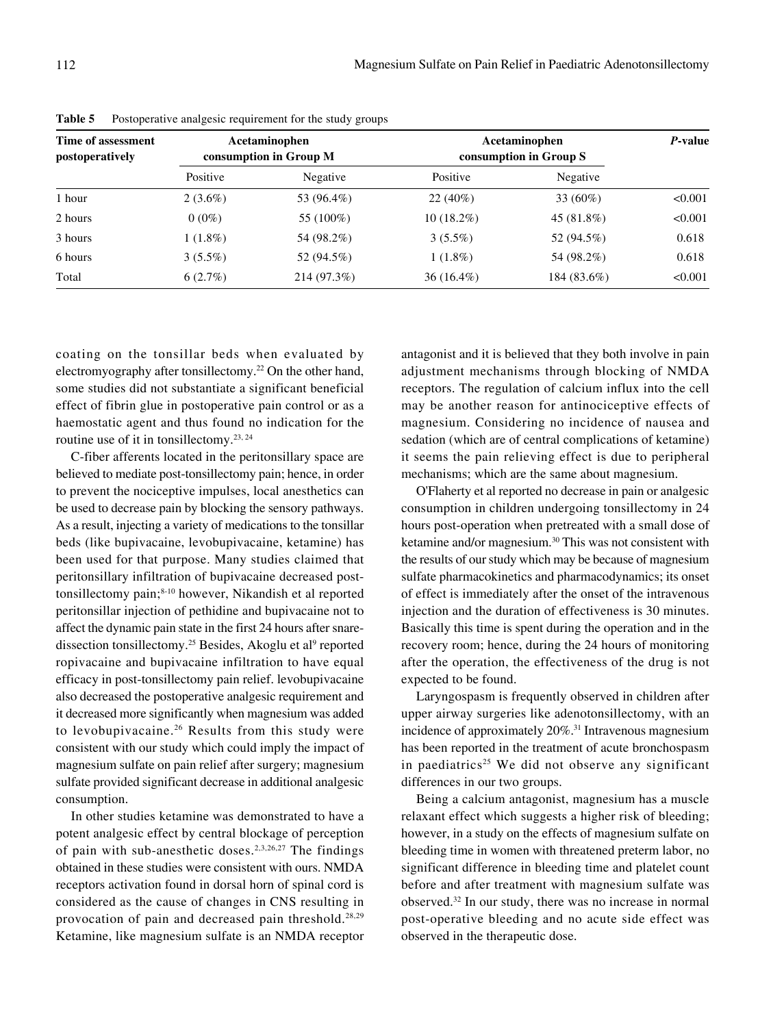| Time of assessment<br>postoperatively | Acetaminophen<br>consumption in Group M |             | Acetaminophen<br>consumption in Group S |             | P-value |
|---------------------------------------|-----------------------------------------|-------------|-----------------------------------------|-------------|---------|
|                                       | Positive                                | Negative    | Positive                                | Negative    |         |
| 1 hour                                | $2(3.6\%)$                              | 53 (96.4%)  | $22(40\%)$                              | 33 $(60\%)$ | < 0.001 |
| 2 hours                               | $0(0\%)$                                | 55 (100%)   | $10(18.2\%)$                            | 45 (81.8%)  | < 0.001 |
| 3 hours                               | $1(1.8\%)$                              | 54 (98.2%)  | $3(5.5\%)$                              | 52 (94.5%)  | 0.618   |
| 6 hours                               | $3(5.5\%)$                              | 52 (94.5%)  | $1(1.8\%)$                              | 54 (98.2%)  | 0.618   |
| Total                                 | 6(2.7%)                                 | 214 (97.3%) | $36(16.4\%)$                            | 184 (83.6%) | < 0.001 |

**Table 5** Postoperative analgesic requirement for the study groups

coating on the tonsillar beds when evaluated by electromyography after tonsillectomy.<sup>22</sup> On the other hand, some studies did not substantiate a significant beneficial effect of fibrin glue in postoperative pain control or as a haemostatic agent and thus found no indication for the routine use of it in tonsillectomy.<sup>23, 24</sup>

C-fiber afferents located in the peritonsillary space are believed to mediate post-tonsillectomy pain; hence, in order to prevent the nociceptive impulses, local anesthetics can be used to decrease pain by blocking the sensory pathways. As a result, injecting a variety of medications to the tonsillar beds (like bupivacaine, levobupivacaine, ketamine) has been used for that purpose. Many studies claimed that peritonsillary infiltration of bupivacaine decreased posttonsillectomy pain;<sup>8-10</sup> however, Nikandish et al reported peritonsillar injection of pethidine and bupivacaine not to affect the dynamic pain state in the first 24 hours after snaredissection tonsillectomy.<sup>25</sup> Besides, Akoglu et al<sup>9</sup> reported ropivacaine and bupivacaine infiltration to have equal efficacy in post-tonsillectomy pain relief. levobupivacaine also decreased the postoperative analgesic requirement and it decreased more significantly when magnesium was added to levobupivacaine.<sup>26</sup> Results from this study were consistent with our study which could imply the impact of magnesium sulfate on pain relief after surgery; magnesium sulfate provided significant decrease in additional analgesic consumption.

In other studies ketamine was demonstrated to have a potent analgesic effect by central blockage of perception of pain with sub-anesthetic doses.<sup>2,3,26,27</sup> The findings obtained in these studies were consistent with ours. NMDA receptors activation found in dorsal horn of spinal cord is considered as the cause of changes in CNS resulting in provocation of pain and decreased pain threshold.28,29 Ketamine, like magnesium sulfate is an NMDA receptor

antagonist and it is believed that they both involve in pain adjustment mechanisms through blocking of NMDA receptors. The regulation of calcium influx into the cell may be another reason for antinociceptive effects of magnesium. Considering no incidence of nausea and sedation (which are of central complications of ketamine) it seems the pain relieving effect is due to peripheral mechanisms; which are the same about magnesium.

O'Flaherty et al reported no decrease in pain or analgesic consumption in children undergoing tonsillectomy in 24 hours post-operation when pretreated with a small dose of ketamine and/or magnesium.30 This was not consistent with the results of our study which may be because of magnesium sulfate pharmacokinetics and pharmacodynamics; its onset of effect is immediately after the onset of the intravenous injection and the duration of effectiveness is 30 minutes. Basically this time is spent during the operation and in the recovery room; hence, during the 24 hours of monitoring after the operation, the effectiveness of the drug is not expected to be found.

Laryngospasm is frequently observed in children after upper airway surgeries like adenotonsillectomy, with an incidence of approximately 20%.<sup>31</sup> Intravenous magnesium has been reported in the treatment of acute bronchospasm in paediatrics<sup>25</sup> We did not observe any significant differences in our two groups.

Being a calcium antagonist, magnesium has a muscle relaxant effect which suggests a higher risk of bleeding; however, in a study on the effects of magnesium sulfate on bleeding time in women with threatened preterm labor, no significant difference in bleeding time and platelet count before and after treatment with magnesium sulfate was observed.32 In our study, there was no increase in normal post-operative bleeding and no acute side effect was observed in the therapeutic dose.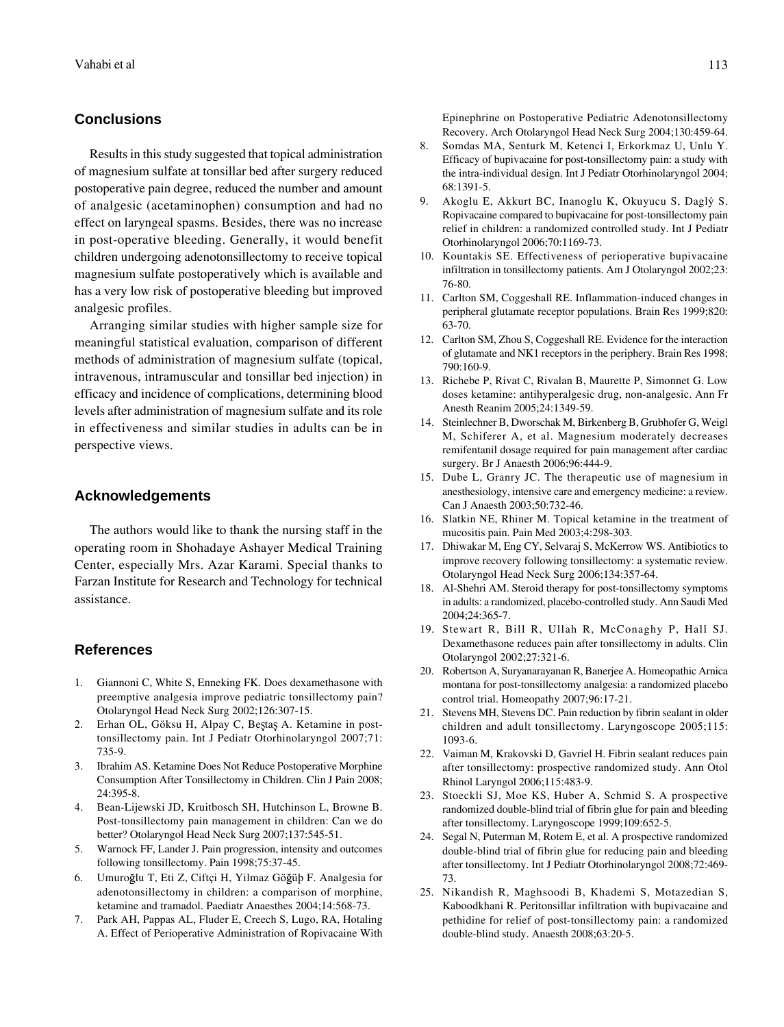#### **Conclusions**

Results in this study suggested that topical administration of magnesium sulfate at tonsillar bed after surgery reduced postoperative pain degree, reduced the number and amount of analgesic (acetaminophen) consumption and had no effect on laryngeal spasms. Besides, there was no increase in post-operative bleeding. Generally, it would benefit children undergoing adenotonsillectomy to receive topical magnesium sulfate postoperatively which is available and has a very low risk of postoperative bleeding but improved analgesic profiles.

Arranging similar studies with higher sample size for meaningful statistical evaluation, comparison of different methods of administration of magnesium sulfate (topical, intravenous, intramuscular and tonsillar bed injection) in efficacy and incidence of complications, determining blood levels after administration of magnesium sulfate and its role in effectiveness and similar studies in adults can be in perspective views.

# **Acknowledgements**

The authors would like to thank the nursing staff in the operating room in Shohadaye Ashayer Medical Training Center, especially Mrs. Azar Karami. Special thanks to Farzan Institute for Research and Technology for technical assistance.

# **References**

- 1. Giannoni C, White S, Enneking FK. Does dexamethasone with preemptive analgesia improve pediatric tonsillectomy pain? Otolaryngol Head Neck Surg 2002;126:307-15.
- 2. Erhan OL, Göksu H, Alpay C, Beştaş A. Ketamine in posttonsillectomy pain. Int J Pediatr Otorhinolaryngol 2007;71: 735-9.
- 3. Ibrahim AS. Ketamine Does Not Reduce Postoperative Morphine Consumption After Tonsillectomy in Children. Clin J Pain 2008; 24:395-8.
- 4. Bean-Lijewski JD, Kruitbosch SH, Hutchinson L, Browne B. Post-tonsillectomy pain management in children: Can we do better? Otolaryngol Head Neck Surg 2007;137:545-51.
- 5. Warnock FF, Lander J. Pain progression, intensity and outcomes following tonsillectomy. Pain 1998;75:37-45.
- 6. Umuroğlu T, Eti Z, Ciftçi H, Yilmaz Göğüb F. Analgesia for adenotonsillectomy in children: a comparison of morphine, ketamine and tramadol. Paediatr Anaesthes 2004;14:568-73.
- 7. Park AH, Pappas AL, Fluder E, Creech S, Lugo, RA, Hotaling A. Effect of Perioperative Administration of Ropivacaine With

Epinephrine on Postoperative Pediatric Adenotonsillectomy Recovery. Arch Otolaryngol Head Neck Surg 2004;130:459-64.

- 8. Somdas MA, Senturk M, Ketenci I, Erkorkmaz U, Unlu Y. Efficacy of bupivacaine for post-tonsillectomy pain: a study with the intra-individual design. Int J Pediatr Otorhinolaryngol 2004; 68:1391-5.
- 9. Akoglu E, Akkurt BC, Inanoglu K, Okuyucu S, Daglý S. Ropivacaine compared to bupivacaine for post-tonsillectomy pain relief in children: a randomized controlled study. Int J Pediatr Otorhinolaryngol 2006;70:1169-73.
- 10. Kountakis SE. Effectiveness of perioperative bupivacaine infiltration in tonsillectomy patients. Am J Otolaryngol 2002;23: 76-80.
- 11. Carlton SM, Coggeshall RE. Inflammation-induced changes in peripheral glutamate receptor populations. Brain Res 1999;820: 63-70.
- 12. Carlton SM, Zhou S, Coggeshall RE. Evidence for the interaction of glutamate and NK1 receptors in the periphery. Brain Res 1998; 790:160-9.
- 13. Richebe P, Rivat C, Rivalan B, Maurette P, Simonnet G. Low doses ketamine: antihyperalgesic drug, non-analgesic. Ann Fr Anesth Reanim 2005;24:1349-59.
- 14. Steinlechner B, Dworschak M, Birkenberg B, Grubhofer G, Weigl M, Schiferer A, et al. Magnesium moderately decreases remifentanil dosage required for pain management after cardiac surgery. Br J Anaesth 2006;96:444-9.
- 15. Dube L, Granry JC. The therapeutic use of magnesium in anesthesiology, intensive care and emergency medicine: a review. Can J Anaesth 2003;50:732-46.
- 16. Slatkin NE, Rhiner M. Topical ketamine in the treatment of mucositis pain. Pain Med 2003;4:298-303.
- 17. Dhiwakar M, Eng CY, Selvaraj S, McKerrow WS. Antibiotics to improve recovery following tonsillectomy: a systematic review. Otolaryngol Head Neck Surg 2006;134:357-64.
- 18. Al-Shehri AM. Steroid therapy for post-tonsillectomy symptoms in adults: a randomized, placebo-controlled study. Ann Saudi Med 2004;24:365-7.
- 19. Stewart R, Bill R, Ullah R, McConaghy P, Hall SJ. Dexamethasone reduces pain after tonsillectomy in adults. Clin Otolaryngol 2002;27:321-6.
- 20. Robertson A, Suryanarayanan R, Banerjee A. Homeopathic Arnica montana for post-tonsillectomy analgesia: a randomized placebo control trial. Homeopathy 2007;96:17-21.
- 21. Stevens MH, Stevens DC. Pain reduction by fibrin sealant in older children and adult tonsillectomy. Laryngoscope 2005;115: 1093-6.
- 22. Vaiman M, Krakovski D, Gavriel H. Fibrin sealant reduces pain after tonsillectomy: prospective randomized study. Ann Otol Rhinol Laryngol 2006;115:483-9.
- 23. Stoeckli SJ, Moe KS, Huber A, Schmid S. A prospective randomized double-blind trial of fibrin glue for pain and bleeding after tonsillectomy. Laryngoscope 1999;109:652-5.
- 24. Segal N, Puterman M, Rotem E, et al. A prospective randomized double-blind trial of fibrin glue for reducing pain and bleeding after tonsillectomy. Int J Pediatr Otorhinolaryngol 2008;72:469- 73.
- 25. Nikandish R, Maghsoodi B, Khademi S, Motazedian S, Kaboodkhani R. Peritonsillar infiltration with bupivacaine and pethidine for relief of post-tonsillectomy pain: a randomized double-blind study. Anaesth 2008;63:20-5.